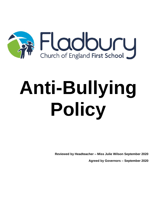

# **Anti-Bullying Policy**

**Reviewed by Headteacher – Miss Julie Wilson September 2020 Agreed by Governors – September 2020**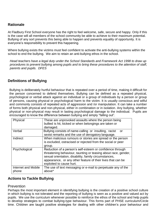#### **Rationale**

At Fladbury First School everyone has the right to feel welcome, safe, secure and happy. Only if this is the case will all members of the school community be able to achieve to their maximum potential. Bullying of any sort prevents this being able to happen and prevents equality of opportunity. It is everyone's responsibility to prevent this happening.

Where bullying exists the victims must feel confident to activate the anti-bullying systems within the school to end the bullying. We aim to retain an anti-bullying ethos in the school.

*Head teachers have a legal duty under the School Standards and Framework Act 1998 to draw up procedures to prevent bullying among pupils and to bring these procedures to the attention of staff, parents and pupils. DFES*

#### **Definitions of Bullying**

Bullying is deliberately hurtful behaviour that is repeated over a period of time, making it difficult for the person concerned to defend themselves. Bullying can be defined as a repeated physical, psychological or verbal attack against an individual or a group of individuals by a person or group of persons, causing physical or psychological harm to the victim. It is usually conscious and wilful and commonly consists of repeated acts of aggression and /or manipulation. It can take a number of forms both physical and non-physical, either in combination or in isolation. Any bullying, whether physical or non-physical may result in lasting psychological damage to the individual. Pupils are encouraged to know the difference between bullying and simply "falling out".

| Physical                     | These are unprovoked assaults where the person being<br>bullied is hit, kicked or when belongings are taken or<br>damaged.                                                                                                                                                      |  |
|------------------------------|---------------------------------------------------------------------------------------------------------------------------------------------------------------------------------------------------------------------------------------------------------------------------------|--|
| Verbal                       | Bullying consists of name-calling or insulting, racist<br>or<br>sexist remarks and the use of derogatory language.                                                                                                                                                              |  |
| Indirect                     | When malicious rumours or stories are spread or the person<br>is excluded, ostracised or rejected from the social or peer<br>group.                                                                                                                                             |  |
| Psychological                | Reduction of a person's self-esteem or confidence through<br>threatening behaviour, taunting or teasing about race, gender,<br>sexual orientation, disability, family circumstances,<br>appearance, or any other feature of their lives that can be<br>exploited to cause hurt. |  |
| Internet and Mobile<br>phone | The use of text messaging or e-mail to perpetuate any of the<br>above*                                                                                                                                                                                                          |  |

#### **Actions to Tackle Bullying**

#### Prevention

Perhaps the most important element in identifying bullying is the creation of a positive school culture in which bullying is not tolerated and the reporting of bullying is seen as a positive and valued act by pupils. We use the curriculum whenever possible to reinforce the ethos of the school and help pupils to develop strategies to combat bullying-type behaviour. This forms part of PHSE curriculum/Circle time. Children are taught positive strategies for dealing with other children's poor behaviour and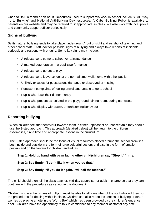when to "tell" a friend or an adult. Resources used to support this work in school include SEAL "Say no to Bullying" and National Anti-Bullying Day resources. A Cyber-Bullying Policy is available to parents on our website and may be referred to, if appropriate, in class. We also work with local police and community support officer periodically.

#### **Signs of bullying**

By its nature, bullying tends to take place 'underground', out of sight and earshot of teaching and other school staff. Staff look for possible signs of bullying and always take reports of incidents seriously and respond with enquiry. Some key signs may include:

- A reluctance to come to school /erratic attendance
- A marked deterioration in a pupil's performance
- A reluctance to go out to play
- A reluctance to leave school at the normal time, walk home with other pupils
- Unlikely excuses for possessions damaged or destroyed or missing
- Persistent complaints of feeling unwell and unable to go to school
- Pupils who 'lose' their dinner money
- Pupils who present as isolated in the playground, dining room, during games etc
- Pupils who display withdrawn, unforthcoming behaviour

#### **Reporting bullying**

When children feel that behaviour towards them is either unpleasant or unacceptable they should use the 3-step approach. This approach (detailed below) will be taught to the children in assemblies, circle time and appropriate lessons in the curriculum.

The 3-step approach should be the focus of visual resources placed around the school premises both inside and outside in the form of large colourful posters and also in the form of smaller posters and on the fanfare for children and adults.

**Step 1: Hold up hand with palm facing other child/children say "Stop it" firmly.** 

#### **Step 2: Say firmly, "I don't like it when you do that."**

#### **Step 3: Say firmly, "If you do it again, I will tell the teacher."**

The child should then tell the class teacher, mid-day supervisor or adult in charge so that they can continue with the procedures as set out in this document.

Children who are the victims of bullying must be able to tell a member of the staff who will then put the procedures for dealing with it in place. Children can also report incidences of bullying or other worries by placing a note in the 'Worry Box' which has been provided by the children's entrance door. Children have the opportunity to talk in confidence to any member of staff at any time,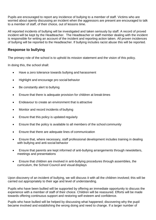Pupils are encouraged to report any incidence of bullying to a member of staff. Victims who are worried about openly discussing an incident when the aggressors are present are encouraged to talk to a member of staff, of their choice, out of lessons time.

All reported incidents of bullying will be investigated and taken seriously by staff. A record of proved incident will be kept by the Headteacher. The Headteacher or staff member dealing with the incident is responsible for writing an account of the incident and reporting action taken. All proven incidences of bullying will be reported to the Headteacher. If bullying includes racist abuse this will be reported.

#### **Response to bullying**

The primary role of the school is to uphold its mission statement and the vision of this policy.

In doing this, the school shall:

- Have a zero tolerance towards bullying and harassment
- Highlight and encourage pro social behavior
- Be constantly alert to bullying
- Ensure that there is adequate provision for children at break times
- Endeavour to create an environment that is attractive
- Monitor and record incidents of bullying
- Ensure that this policy is updated regularly
- Ensure that the policy is available to all members of the school community
- Ensure that there are adequate lines of communication
- Ensure that, where necessary, staff professional development includes training in dealing with bullying and anti-social behavior
- Ensure that parents are kept informed of anti-bullying arrangements through newsletters, meetings and presentations
- Ensure that children are involved in anti-bullying procedures through assemblies, the curriculum, the School Council and visual displays

Upon discovery of an incident of bullying, we will discuss it with all the children involved; this will be carried out appropriately to their age and level of understanding.

Pupils who have been bullied will be supported by offering an immediate opportunity to discuss the experience with a member of staff of their choice. Children will be reassured. Efforts will be made towards offering continuous support and restoring self-esteem and confidence.

Pupils who have bullied will be helped by discussing what happened; discovering why the pupil became involved and establishing the wrong doing and need to change. If a larger number of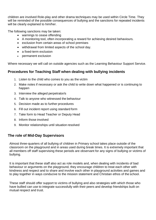children are involved Role-play and other drama techniques may be used within Circle Time. They will be reminded of the possible consequences of bullying and the sanctions for repeated incidents will be clearly explained to him/her.

The following sanctions may be taken:

- warnings to cease offending
- A monitoring tool, often incorporating a reward for achieving desired behaviours.
- exclusion from certain areas of school premises
- withdrawal from limited aspects of the school day.
- a fixed-term exclusion
- permanent exclusion

Where necessary we will call on outside agencies such as the Learning Behaviour Support Service.

#### **Procedures for Teaching Staff when dealing with bullying incidents**

- 1. Listen to the child who comes to you as the victim
- 2. Make notes if necessary or ask the child to write down what happened or is continuing to happen
- 3. Interview the alleged perpetrator/s
- 4. Talk to anyone who witnessed the behaviour
- 5. Decision made as to further procedures
- 6. Fill out incident report using standard form
- 7. Take form to Head Teacher or Deputy Head
- 8. Inform those involved
- 9. Monitor relationships until situation resolved

#### **The role of Mid-Day Supervisors**

Almost three-quarters of all bullying of children in Primary school takes place outside of the classroom on the playground and in areas used during break times. It is extremely important that all members off staff supervising these periods are observant for any signs of bullying or victims of bullying.

It is important that these staff also act as role models and, when dealing with incidents of bad behaviour or arguments on the playground, they encourage children to treat each other with kindness and respect and to share and involve each other in playground activities and games and to play together in ways conducive to the mission statement and Christian ethos of the school.

These staff should offer support to victims of bullying and also strategies with which those who have bullied can use to integrate successfully with their peers and develop friendships built on mutual respect and trust.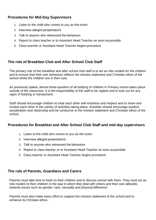#### **Procedures for Mid-Day Supervisors**

- 1. Listen to the child who comes to you as the victim
- 2. Interview alleged perpetrator/s
- 3. Talk to anyone who witnessed the behaviour
- 4. Report to class teacher or to Assistant Head Teacher as soon as possible
- 5. Class teacher or Assistant Head Teacher begins procedure

#### **The role of Breakfast Club and After School Club Staff**

The primary role of the breakfast and after school club staff is to act as role models for the children and to ensure that their own behaviour reflects the mission statement and Christian ethos of the school whilst the children are in their care.

As previously stated, almost three-quarters of all bullying of children in Primary school takes place outside of the classroom. It is the responsibility of the staff to be vigilant and to look out for any signs of bullying or harassment.

Staff should encourage children to treat each other with kindness and respect and to share and involve each other in the variety of activities taking place. Activities should encourage positive socialisation and citizenship and be conducive to the mission statement and Christian ethos of the school.

#### **Procedures for Breakfast and After School Club Staff and mid-day supervisors**

- 1. Listen to the child who comes to you as the victim
- 2. Interview alleged perpetrator/s
- 3. Talk to anyone who witnessed the behaviour
- 4. Report to class teacher or to Assistant Head Teacher as soon as possible
- 5. Class teacher or Assistant Head Teacher begins procedure

#### **The role of Parents, Guardians and Carers**

Parents must take time to listen to their children and to discuss school with them. They must act as role models to their children in the way in which they deal with others and their own attitudes towards issues such as gender, race, sexuality and physical difference.

Parents must also make every effort to support the mission statement of the school and to enhance its Christian ethos.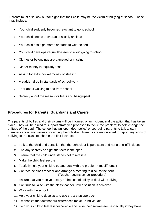Parents must also look out for signs that their child may be the victim of bullying at school. These may include:

- Your child suddenly becomes reluctant to go to school
- Your child seems uncharacteristically anxious
- Your child has nightmares or starts to wet the bed
- Your child develops vague illnesses to avoid going to school
- Clothes or belongings are damaged or missing
- Dinner money is regularly 'lost'
- Asking for extra pocket money or stealing
- A sudden drop in standards of school work
- Fear about walking to and from school
- Secrecy about the reason for tears and being upset

#### **Procedures for Parents, Guardians and Carers**

The parents of bullies and their victims will be informed of an incident and the action that has taken place. They will be asked to support strategies proposed to tackle the problem; to help change the attitude of the pupil. The school has an 'open door policy' encouraging parents to talk to staff members about any issues concerning their children. Parents are encouraged to report any signs of bullying to the class teacher in the first instance.

- 1. Talk to the child and establish that the behaviour is persistent and not a one-offincident
- 2. End any secrecy and get the facts in the open
- 3. Ensure that the child understands not to retaliate
- 4. Make the child feel secure
- 5. Tactfully help your child to try and deal with the problem himself/herself
- 6. Contact the class teacher and arrange a meeting to discuss the issue (Teacher begins school procedure)
- 7. Ensure that you receive a copy of the school policy to deal with bullying
- 8. Continue to liaise with the class teacher until a solution is achieved
- 9. Work with the school
- 10. Help your child to develop and use the 3-step approach
- 11. Emphasize the fact that our differences make us individuals
- 12. Help your child to feel less vulnerable and raise their self–esteem especially if they have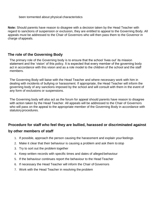been tormented about physical characteristics

**Note:** Should parents have reason to disagree with a decision taken by the Head Teacher with regard to sanctions of suspension or exclusion, they are entitled to appeal to the Governing Body. All appeals must be addressed to the Chair of Governors who will then pass them to the Governor in charge ofappeals.

#### **The role of the Governing Body**

The primary role of the Governing body is to ensure that the school 'lives out' its mission statement and the 'vision' of this policy. It is expected that every member of the governing body act in accordance with this vision and as a role model to the children of the school and the staff members.

The Governing Body will liaise with the Head Teacher and where necessary work with him in dealing with incidents of bullying or harassment. If appropriate, the Head Teacher will inform the governing body of any sanctions imposed by the school and will consult with them in the event of any form of exclusions or suspensions.

The Governing body will also act as the forum for appeal should parents have reason to disagree with action taken by the Head Teacher. All appeals will be addressed to the Chair of Governors who will pass on the appeal to the appropriate member of the Governing Body in accordance with statutoryprocedures.

### **Procedure for staff who feel they are bullied, harassed or discriminated against by other members of staff**

- 1. If possible, approach the person causing the harassment and explain yourfeelings
- 2. Make it clear that their behaviour is causing a problem and ask them to stop
- 3. Try to sort out the problem together
- 4. Keep written records with specific times and dates of alleged behaviour
- 5. If the behaviour continues report the behaviour to the Head Teacher
- 6. If necessary the Head Teacher will inform the Chair of Governors
- 7. Work with the Head Teacher in resolving the problem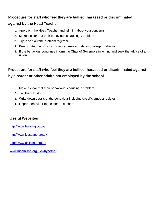#### **Procedure for staff who feel they are bullied, harassed or discriminated**

#### **against by the Head Teacher**

- 1. Approach the Head Teacher and tell him about your concerns
- 2. Make it clear that their behaviour is causing a problem
- 3. Try to sort out the problem together
- 4. Keep written records with specific times and dates of alleged behaviour
- 5. If the behaviour continues inform the Chair of Governors in writing and seek the advice of a union

## **Procedure for staff who feel they are bullied, harassed or discriminated against by a parent or other adults not employed by the school**

- 1. Make it clear that their behaviour is causing a problem
- 2. Tell them to stop
- 3. Write down details of the behaviour including specific times and dates
- 4. Report behaviour to the Head Teacher

#### **Useful Websites**

<http://www.bullying.co.uk/>

[http://www.kidscape.org.uk](http://www.kidscape.org.uk/)

[http://www.childline.org.uk](http://www.childline.org.uk/)

[www.macmillan.org.uk/whybother](http://www.macmillan.org.uk/whybother)